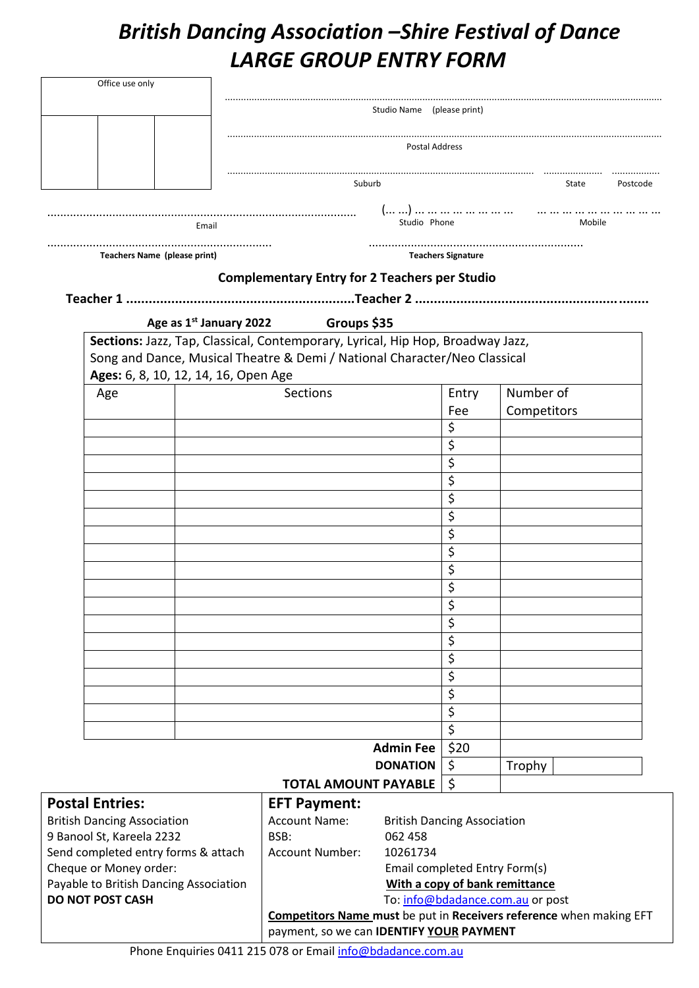## *British Dancing Association –Shire Festival of Dance LARGE GROUP ENTRY FORM*

| Office use only                                                  |                                                                                |                                                                     |          |             |        |          |  |
|------------------------------------------------------------------|--------------------------------------------------------------------------------|---------------------------------------------------------------------|----------|-------------|--------|----------|--|
|                                                                  | Studio Name (please print)                                                     |                                                                     |          |             |        |          |  |
|                                                                  |                                                                                |                                                                     |          |             |        |          |  |
|                                                                  |                                                                                | <b>Postal Address</b>                                               |          |             |        |          |  |
|                                                                  | Suburb                                                                         |                                                                     |          |             | State  | Postcode |  |
|                                                                  |                                                                                |                                                                     |          |             |        |          |  |
| Email                                                            |                                                                                | Studio Phone                                                        |          |             | Mobile |          |  |
| Teachers Name (please print)                                     |                                                                                | <b>Teachers Signature</b>                                           |          |             |        |          |  |
|                                                                  | <b>Complementary Entry for 2 Teachers per Studio</b>                           |                                                                     |          |             |        |          |  |
|                                                                  |                                                                                |                                                                     |          |             |        |          |  |
|                                                                  | Age as 1 <sup>st</sup> January 2022 Groups \$35                                |                                                                     |          |             |        |          |  |
|                                                                  | Sections: Jazz, Tap, Classical, Contemporary, Lyrical, Hip Hop, Broadway Jazz, |                                                                     |          |             |        |          |  |
|                                                                  | Song and Dance, Musical Theatre & Demi / National Character/Neo Classical      |                                                                     |          |             |        |          |  |
| Ages: 6, 8, 10, 12, 14, 16, Open Age                             |                                                                                |                                                                     |          |             |        |          |  |
| Age                                                              | <b>Sections</b>                                                                |                                                                     | Entry    | Number of   |        |          |  |
|                                                                  |                                                                                |                                                                     | Fee      | Competitors |        |          |  |
|                                                                  |                                                                                |                                                                     | \$       |             |        |          |  |
|                                                                  |                                                                                |                                                                     | \$       |             |        |          |  |
|                                                                  |                                                                                |                                                                     | \$       |             |        |          |  |
|                                                                  |                                                                                |                                                                     | \$       |             |        |          |  |
|                                                                  |                                                                                |                                                                     | \$       |             |        |          |  |
|                                                                  |                                                                                |                                                                     | \$       |             |        |          |  |
|                                                                  |                                                                                |                                                                     | \$       |             |        |          |  |
|                                                                  |                                                                                |                                                                     | \$       |             |        |          |  |
|                                                                  |                                                                                |                                                                     | \$<br>\$ |             |        |          |  |
|                                                                  |                                                                                |                                                                     |          |             |        |          |  |
|                                                                  |                                                                                |                                                                     | \$<br>\$ |             |        |          |  |
|                                                                  |                                                                                |                                                                     | \$       |             |        |          |  |
|                                                                  |                                                                                |                                                                     | \$       |             |        |          |  |
|                                                                  |                                                                                |                                                                     | \$       |             |        |          |  |
|                                                                  |                                                                                |                                                                     | \$       |             |        |          |  |
|                                                                  |                                                                                |                                                                     | \$       |             |        |          |  |
|                                                                  |                                                                                |                                                                     | \$       |             |        |          |  |
|                                                                  | <b>Admin Fee</b>                                                               |                                                                     | \$20     |             |        |          |  |
|                                                                  |                                                                                | <b>DONATION</b>                                                     | $\zeta$  | Trophy      |        |          |  |
|                                                                  | <b>TOTAL AMOUNT PAYABLE</b>                                                    |                                                                     | $\zeta$  |             |        |          |  |
| <b>Postal Entries:</b>                                           | <b>EFT Payment:</b>                                                            |                                                                     |          |             |        |          |  |
| <b>British Dancing Association</b>                               | <b>Account Name:</b>                                                           | <b>British Dancing Association</b>                                  |          |             |        |          |  |
| 9 Banool St, Kareela 2232                                        | BSB:                                                                           | 062 458                                                             |          |             |        |          |  |
| Send completed entry forms & attach                              | <b>Account Number:</b>                                                         | 10261734                                                            |          |             |        |          |  |
| Cheque or Money order:<br>Payable to British Dancing Association |                                                                                | Email completed Entry Form(s)<br>With a copy of bank remittance     |          |             |        |          |  |
| <b>DO NOT POST CASH</b><br>To: info@bdadance.com.au or post      |                                                                                |                                                                     |          |             |        |          |  |
|                                                                  |                                                                                | Competitors Name must be put in Receivers reference when making EFT |          |             |        |          |  |
| payment, so we can IDENTIFY YOUR PAYMENT                         |                                                                                |                                                                     |          |             |        |          |  |